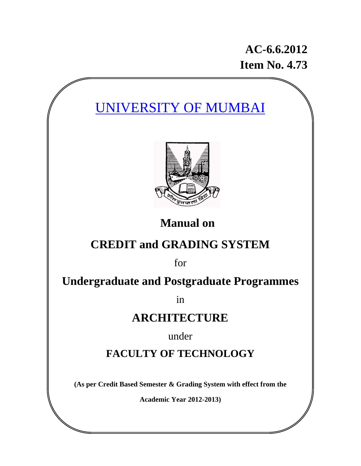## **AC-6.6.2012 Item No. 4.73**

# UNIVERSITY OF MUMBAI



**Manual on** 

# **CREDIT and GRADING SYSTEM**

for

## **Undergraduate and Postgraduate Programmes**

in

## **ARCHITECTURE**

under

**FACULTY OF TECHNOLOGY** 

**(As per Credit Based Semester & Grading System with effect from the** 

**Academic Year 2012-2013)**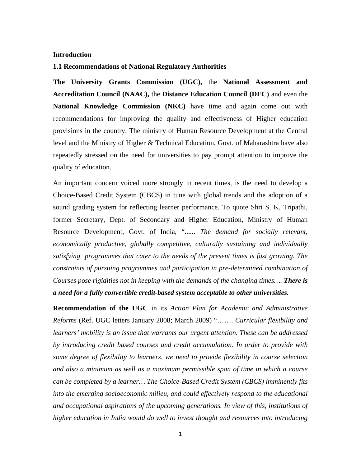#### **Introduction**

#### **1.1 Recommendations of National Regulatory Authorities**

**The University Grants Commission (UGC),** the **National Assessment and Accreditation Council (NAAC),** the **Distance Education Council (DEC)** and even the **National Knowledge Commission (NKC)** have time and again come out with recommendations for improving the quality and effectiveness of Higher education provisions in the country. The ministry of Human Resource Development at the Central level and the Ministry of Higher & Technical Education, Govt. of Maharashtra have also repeatedly stressed on the need for universities to pay prompt attention to improve the quality of education.

An important concern voiced more strongly in recent times, is the need to develop a Choice-Based Credit System (CBCS) in tune with global trends and the adoption of a sound grading system for reflecting learner performance. To quote Shri S. K. Tripathi, former Secretary, Dept. of Secondary and Higher Education, Ministry of Human Resource Development, Govt. of India, "...... *The demand for socially relevant, economically productive, globally competitive, culturally sustaining and individually satisfying programmes that cater to the needs of the present times is fast growing. The constraints of pursuing programmes and participation in pre-determined combination of Courses pose rigidities not in keeping with the demands of the changing times…. There is a need for a fully convertible credit-based system acceptable to other universities.* 

**Recommendation of the UGC** in its *Action Plan for Academic and Administrative Reforms* (Ref. UGC letters January 2008; March 2009) "……. *Curricular flexibility and learners' mobility is an issue that warrants our urgent attention. These can be addressed by introducing credit based courses and credit accumulation. In order to provide with some degree of flexibility to learners, we need to provide flexibility in course selection and also a minimum as well as a maximum permissible span of time in which a course can be completed by a learner… The Choice-Based Credit System (CBCS) imminently fits into the emerging socioeconomic milieu, and could effectively respond to the educational and occupational aspirations of the upcoming generations. In view of this, institutions of higher education in India would do well to invest thought and resources into introducing*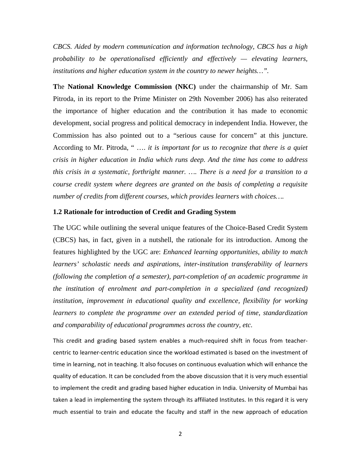*CBCS. Aided by modern communication and information technology, CBCS has a high probability to be operationalised efficiently and effectively — elevating learners, institutions and higher education system in the country to newer heights…".* 

**T**he **National Knowledge Commission (NKC)** under the chairmanship of Mr. Sam Pitroda, in its report to the Prime Minister on 29th November 2006) has also reiterated the importance of higher education and the contribution it has made to economic development, social progress and political democracy in independent India. However, the Commission has also pointed out to a "serious cause for concern" at this juncture. According to Mr. Pitroda, " …. *it is important for us to recognize that there is a quiet crisis in higher education in India which runs deep. And the time has come to address this crisis in a systematic, forthright manner. …. There is a need for a transition to a course credit system where degrees are granted on the basis of completing a requisite number of credits from different courses, which provides learners with choices….* 

#### **1.2 Rationale for introduction of Credit and Grading System**

The UGC while outlining the several unique features of the Choice-Based Credit System (CBCS) has, in fact, given in a nutshell, the rationale for its introduction. Among the features highlighted by the UGC are: *Enhanced learning opportunities, ability to match learners' scholastic needs and aspirations, inter-institution transferability of learners (following the completion of a semester), part-completion of an academic programme in the institution of enrolment and part-completion in a specialized (and recognized) institution, improvement in educational quality and excellence, flexibility for working learners to complete the programme over an extended period of time, standardization and comparability of educational programmes across the country, etc.* 

This credit and grading based system enables a much‐required shift in focus from teacher‐ centric to learner‐centric education since the workload estimated is based on the investment of time in learning, not in teaching. It also focuses on continuous evaluation which will enhance the quality of education. It can be concluded from the above discussion that it is very much essential to implement the credit and grading based higher education in India. University of Mumbai has taken a lead in implementing the system through its affiliated Institutes. In this regard it is very much essential to train and educate the faculty and staff in the new approach of education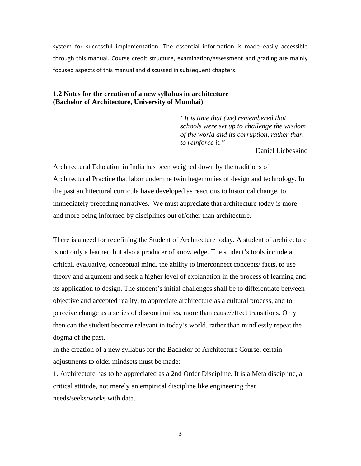system for successful implementation. The essential information is made easily accessible through this manual. Course credit structure, examination/assessment and grading are mainly focused aspects of this manual and discussed in subsequent chapters.

#### **1.2 Notes for the creation of a new syllabus in architecture (Bachelor of Architecture, University of Mumbai)**

*"It is time that (we) remembered that schools were set up to challenge the wisdom of the world and its corruption, rather than to reinforce it."* 

Daniel Liebeskind

Architectural Education in India has been weighed down by the traditions of Architectural Practice that labor under the twin hegemonies of design and technology. In the past architectural curricula have developed as reactions to historical change, to immediately preceding narratives. We must appreciate that architecture today is more and more being informed by disciplines out of/other than architecture.

There is a need for redefining the Student of Architecture today. A student of architecture is not only a learner, but also a producer of knowledge. The student's tools include a critical, evaluative, conceptual mind, the ability to interconnect concepts/ facts, to use theory and argument and seek a higher level of explanation in the process of learning and its application to design. The student's initial challenges shall be to differentiate between objective and accepted reality, to appreciate architecture as a cultural process, and to perceive change as a series of discontinuities, more than cause/effect transitions. Only then can the student become relevant in today's world, rather than mindlessly repeat the dogma of the past.

In the creation of a new syllabus for the Bachelor of Architecture Course, certain adjustments to older mindsets must be made:

1. Architecture has to be appreciated as a 2nd Order Discipline. It is a Meta discipline, a critical attitude, not merely an empirical discipline like engineering that needs/seeks/works with data.

3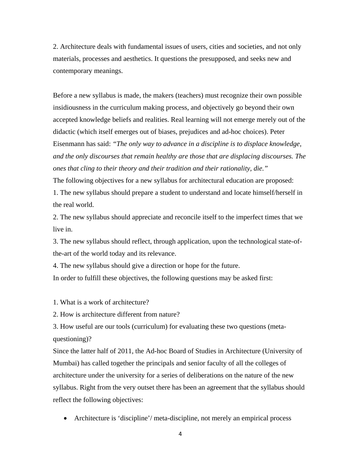2. Architecture deals with fundamental issues of users, cities and societies, and not only materials, processes and aesthetics. It questions the presupposed, and seeks new and contemporary meanings.

Before a new syllabus is made, the makers (teachers) must recognize their own possible insidiousness in the curriculum making process, and objectively go beyond their own accepted knowledge beliefs and realities. Real learning will not emerge merely out of the didactic (which itself emerges out of biases, prejudices and ad-hoc choices). Peter Eisenmann has said: *"The only way to advance in a discipline is to displace knowledge, and the only discourses that remain healthy are those that are displacing discourses. The ones that cling to their theory and their tradition and their rationality, die."* 

The following objectives for a new syllabus for architectural education are proposed: 1. The new syllabus should prepare a student to understand and locate himself/herself in the real world.

2. The new syllabus should appreciate and reconcile itself to the imperfect times that we live in.

3. The new syllabus should reflect, through application, upon the technological state-ofthe-art of the world today and its relevance.

4. The new syllabus should give a direction or hope for the future.

In order to fulfill these objectives, the following questions may be asked first:

1. What is a work of architecture?

2. How is architecture different from nature?

3. How useful are our tools (curriculum) for evaluating these two questions (metaquestioning)?

Since the latter half of 2011, the Ad-hoc Board of Studies in Architecture (University of Mumbai) has called together the principals and senior faculty of all the colleges of architecture under the university for a series of deliberations on the nature of the new syllabus. Right from the very outset there has been an agreement that the syllabus should reflect the following objectives:

• Architecture is 'discipline'/ meta-discipline, not merely an empirical process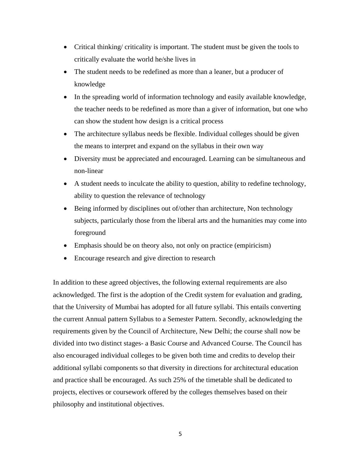- Critical thinking/ criticality is important. The student must be given the tools to critically evaluate the world he/she lives in
- The student needs to be redefined as more than a leaner, but a producer of knowledge
- In the spreading world of information technology and easily available knowledge, the teacher needs to be redefined as more than a giver of information, but one who can show the student how design is a critical process
- The architecture syllabus needs be flexible. Individual colleges should be given the means to interpret and expand on the syllabus in their own way
- Diversity must be appreciated and encouraged. Learning can be simultaneous and non-linear
- A student needs to inculcate the ability to question, ability to redefine technology, ability to question the relevance of technology
- Being informed by disciplines out of/other than architecture, Non technology subjects, particularly those from the liberal arts and the humanities may come into foreground
- Emphasis should be on theory also, not only on practice (empiricism)
- Encourage research and give direction to research

In addition to these agreed objectives, the following external requirements are also acknowledged. The first is the adoption of the Credit system for evaluation and grading, that the University of Mumbai has adopted for all future syllabi. This entails converting the current Annual pattern Syllabus to a Semester Pattern. Secondly, acknowledging the requirements given by the Council of Architecture, New Delhi; the course shall now be divided into two distinct stages- a Basic Course and Advanced Course. The Council has also encouraged individual colleges to be given both time and credits to develop their additional syllabi components so that diversity in directions for architectural education and practice shall be encouraged. As such 25% of the timetable shall be dedicated to projects, electives or coursework offered by the colleges themselves based on their philosophy and institutional objectives.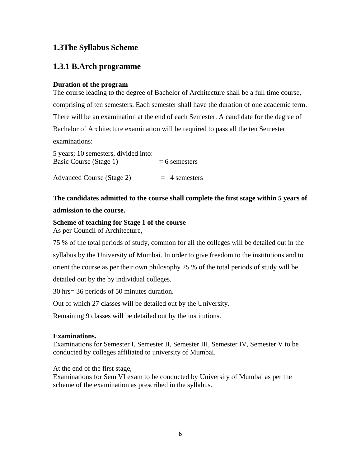## **1.3The Syllabus Scheme**

## **1.3.1 B.Arch programme**

## **Duration of the program**

The course leading to the degree of Bachelor of Architecture shall be a full time course, comprising of ten semesters. Each semester shall have the duration of one academic term. There will be an examination at the end of each Semester. A candidate for the degree of Bachelor of Architecture examination will be required to pass all the ten Semester examinations:

5 years; 10 semesters, divided into: Basic Course (Stage 1)  $= 6$  semesters

Advanced Course (Stage 2)  $= 4$  semesters

## **The candidates admitted to the course shall complete the first stage within 5 years of**

## **admission to the course.**

**Scheme of teaching for Stage 1 of the course**  As per Council of Architecture,

75 % of the total periods of study, common for all the colleges will be detailed out in the syllabus by the University of Mumbai. In order to give freedom to the institutions and to orient the course as per their own philosophy 25 % of the total periods of study will be detailed out by the by individual colleges.

30 hrs= 36 periods of 50 minutes duration.

Out of which 27 classes will be detailed out by the University.

Remaining 9 classes will be detailed out by the institutions.

## **Examinations.**

Examinations for Semester I, Semester II, Semester III, Semester IV, Semester V to be conducted by colleges affiliated to university of Mumbai.

At the end of the first stage,

Examinations for Sem VI exam to be conducted by University of Mumbai as per the scheme of the examination as prescribed in the syllabus.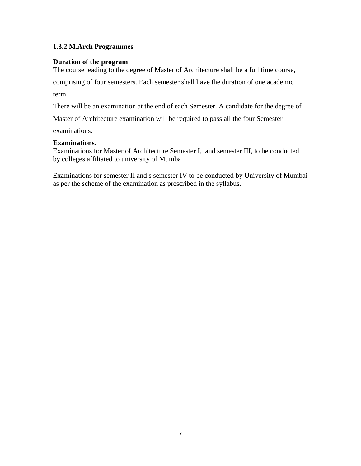## **1.3.2 M.Arch Programmes**

## **Duration of the program**

The course leading to the degree of Master of Architecture shall be a full time course,

comprising of four semesters. Each semester shall have the duration of one academic

term.

There will be an examination at the end of each Semester. A candidate for the degree of

Master of Architecture examination will be required to pass all the four Semester

examinations:

## **Examinations.**

Examinations for Master of Architecture Semester I, and semester III, to be conducted by colleges affiliated to university of Mumbai.

Examinations for semester II and s semester IV to be conducted by University of Mumbai as per the scheme of the examination as prescribed in the syllabus.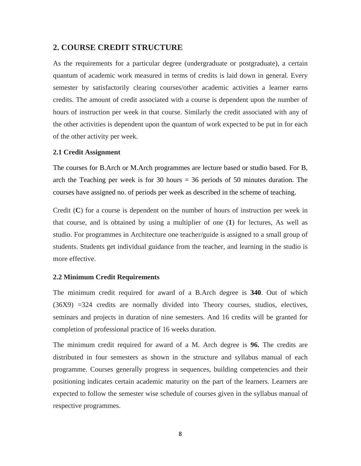## **2. COURSE CREDIT STRUCTURE**

As the requirements for a particular degree (undergraduate or postgraduate), a certain quantum of academic work measured in terms of credits is laid down in general. Every semester by satisfactorily clearing courses/other academic activities a learner earns credits. The amount of credit associated with a course is dependent upon the number of hours of instruction per week in that course. Similarly the credit associated with any of the other activities is dependent upon the quantum of work expected to be put in for each of the other activity per week.

#### **2.1 Credit Assignment**

The courses for B.Arch or M.Arch programmes are lecture based or studio based. For B, arch the Teaching per week is for 30 hours = 36 periods of 50 minutes duration. The courses have assigned no. of periods per week as described in the scheme of teaching.

Credit (**C**) for a course is dependent on the number of hours of instruction per week in that course, and is obtained by using a multiplier of one (**1**) for lectures, As well as studio. For programmes in Architecture one teacher/guide is assigned to a small group of students. Students get individual guidance from the teacher, and learning in the studio is more effective.

#### **2.2 Minimum Credit Requirements**

The minimum credit required for award of a B.Arch degree is **340**. Out of which (36X9) =324 credits are normally divided into Theory courses, studios, electives, seminars and projects in duration of nine semesters. And 16 credits will be granted for completion of professional practice of 16 weeks duration.

The minimum credit required for award of a M. Arch degree is **96.** The credits are distributed in four semesters as shown in the structure and syllabus manual of each programme. Courses generally progress in sequences, building competencies and their positioning indicates certain academic maturity on the part of the learners. Learners are expected to follow the semester wise schedule of courses given in the syllabus manual of respective programmes.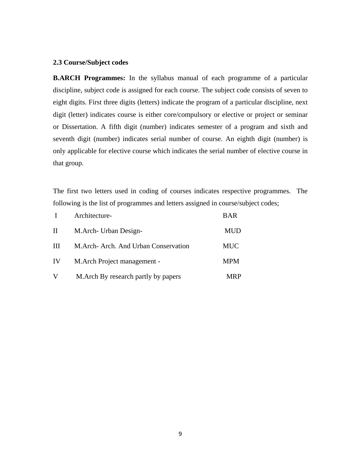#### **2.3 Course/Subject codes**

**B.ARCH Programmes:** In the syllabus manual of each programme of a particular discipline, subject code is assigned for each course. The subject code consists of seven to eight digits. First three digits (letters) indicate the program of a particular discipline, next digit (letter) indicates course is either core/compulsory or elective or project or seminar or Dissertation. A fifth digit (number) indicates semester of a program and sixth and seventh digit (number) indicates serial number of course. An eighth digit (number) is only applicable for elective course which indicates the serial number of elective course in that group.

The first two letters used in coding of courses indicates respective programmes. The following is the list of programmes and letters assigned in course/subject codes;

|    | Architecture-                        | <b>BAR</b> |
|----|--------------------------------------|------------|
| П  | M.Arch- Urban Design-                | <b>MUD</b> |
| Ш  | M.Arch-Arch. And Urban Conservation  | <b>MUC</b> |
| IV | M. Arch Project management -         | <b>MPM</b> |
| V  | M. Arch By research partly by papers | <b>MRP</b> |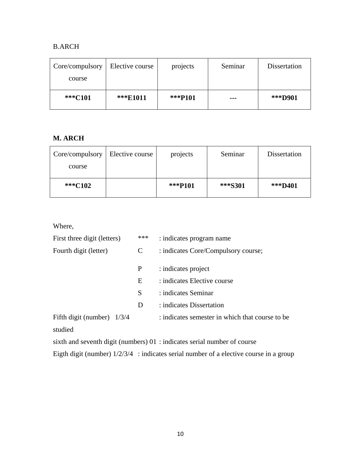## B.ARCH

| Core/compulsory | Elective course | projects | Seminar | Dissertation |
|-----------------|-----------------|----------|---------|--------------|
| course          |                 |          |         |              |
| ***C101         | ***E1011        | ***P101  | ---     | ***D901      |

## **M. ARCH**

| Core/compulsory | Elective course | projects | Seminar | Dissertation |
|-----------------|-----------------|----------|---------|--------------|
| course          |                 |          |         |              |
|                 |                 |          |         |              |
| ***C102         |                 | ***P101  | ***S301 | ***D401      |

Where,

| First three digit (letters)  | *** | : indicates program name                                                                   |
|------------------------------|-----|--------------------------------------------------------------------------------------------|
| Fourth digit (letter)        | C   | : indicates Core/Compulsory course;                                                        |
|                              | P   | : indicates project                                                                        |
|                              | E   | : indicates Elective course                                                                |
|                              | S   | : indicates Seminar                                                                        |
|                              | D   | : indicates Dissertation                                                                   |
| Fifth digit (number) $1/3/4$ |     | : indicates semester in which that course to be                                            |
| studied                      |     |                                                                                            |
|                              |     | $\alpha$ and $\alpha$ are the digit (numbers) $\alpha$ indicates serial number of $\alpha$ |

sixth and seventh digit (numbers) 01 : indicates serial number of course

Eigth digit (number) 1/2/3/4 : indicates serial number of a elective course in a group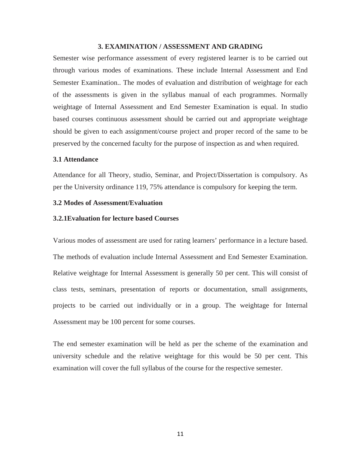#### **3. EXAMINATION / ASSESSMENT AND GRADING**

Semester wise performance assessment of every registered learner is to be carried out through various modes of examinations. These include Internal Assessment and End Semester Examination.. The modes of evaluation and distribution of weightage for each of the assessments is given in the syllabus manual of each programmes. Normally weightage of Internal Assessment and End Semester Examination is equal. In studio based courses continuous assessment should be carried out and appropriate weightage should be given to each assignment/course project and proper record of the same to be preserved by the concerned faculty for the purpose of inspection as and when required.

#### **3.1 Attendance**

Attendance for all Theory, studio, Seminar, and Project/Dissertation is compulsory. As per the University ordinance 119, 75% attendance is compulsory for keeping the term.

#### **3.2 Modes of Assessment/Evaluation**

#### **3.2.1Evaluation for lecture based Courses**

Various modes of assessment are used for rating learners' performance in a lecture based. The methods of evaluation include Internal Assessment and End Semester Examination. Relative weightage for Internal Assessment is generally 50 per cent. This will consist of class tests, seminars, presentation of reports or documentation, small assignments, projects to be carried out individually or in a group. The weightage for Internal Assessment may be 100 percent for some courses.

The end semester examination will be held as per the scheme of the examination and university schedule and the relative weightage for this would be 50 per cent. This examination will cover the full syllabus of the course for the respective semester.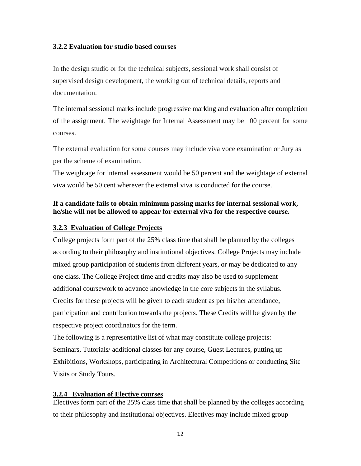### **3.2.2 Evaluation for studio based courses**

In the design studio or for the technical subjects, sessional work shall consist of supervised design development, the working out of technical details, reports and documentation.

The internal sessional marks include progressive marking and evaluation after completion of the assignment. The weightage for Internal Assessment may be 100 percent for some courses.

The external evaluation for some courses may include viva voce examination or Jury as per the scheme of examination.

The weightage for internal assessment would be 50 percent and the weightage of external viva would be 50 cent wherever the external viva is conducted for the course.

## **If a candidate fails to obtain minimum passing marks for internal sessional work, he/she will not be allowed to appear for external viva for the respective course.**

### **3.2.3 Evaluation of College Projects**

College projects form part of the 25% class time that shall be planned by the colleges according to their philosophy and institutional objectives. College Projects may include mixed group participation of students from different years, or may be dedicated to any one class. The College Project time and credits may also be used to supplement additional coursework to advance knowledge in the core subjects in the syllabus. Credits for these projects will be given to each student as per his/her attendance, participation and contribution towards the projects. These Credits will be given by the respective project coordinators for the term.

The following is a representative list of what may constitute college projects: Seminars, Tutorials/ additional classes for any course, Guest Lectures, putting up Exhibitions, Workshops, participating in Architectural Competitions or conducting Site Visits or Study Tours.

### **3.2.4 Evaluation of Elective courses**

Electives form part of the 25% class time that shall be planned by the colleges according to their philosophy and institutional objectives. Electives may include mixed group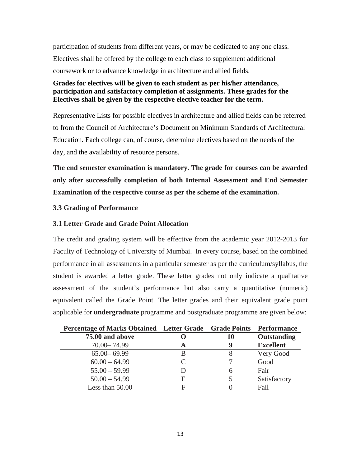participation of students from different years, or may be dedicated to any one class. Electives shall be offered by the college to each class to supplement additional coursework or to advance knowledge in architecture and allied fields.

## **Grades for electives will be given to each student as per his/her attendance, participation and satisfactory completion of assignments. These grades for the Electives shall be given by the respective elective teacher for the term.**

Representative Lists for possible electives in architecture and allied fields can be referred to from the Council of Architecture's Document on Minimum Standards of Architectural Education. Each college can, of course, determine electives based on the needs of the day, and the availability of resource persons.

**The end semester examination is mandatory. The grade for courses can be awarded only after successfully completion of both Internal Assessment and End Semester Examination of the respective course as per the scheme of the examination.** 

## **3.3 Grading of Performance**

## **3.1 Letter Grade and Grade Point Allocation**

The credit and grading system will be effective from the academic year 2012-2013 for Faculty of Technology of University of Mumbai. In every course, based on the combined performance in all assessments in a particular semester as per the curriculum/syllabus, the student is awarded a letter grade. These letter grades not only indicate a qualitative assessment of the student's performance but also carry a quantitative (numeric) equivalent called the Grade Point. The letter grades and their equivalent grade point applicable for **undergraduate** programme and postgraduate programme are given below:

| Percentage of Marks Obtained Letter Grade Grade Points Performance |                             |    |                    |
|--------------------------------------------------------------------|-----------------------------|----|--------------------|
| 75.00 and above                                                    |                             | 10 | <b>Outstanding</b> |
| 70.00 - 74.99                                                      | A                           | Y  | <b>Excellent</b>   |
| $65.00 - 69.99$                                                    | В                           |    | Very Good          |
| $60.00 - 64.99$                                                    | $\mathcal{C}_{\mathcal{C}}$ |    | Good               |
| $55.00 - 59.99$                                                    | D                           |    | Fair               |
| $50.00 - 54.99$                                                    | E                           |    | Satisfactory       |
| Less than 50.00                                                    | F                           |    | Fail               |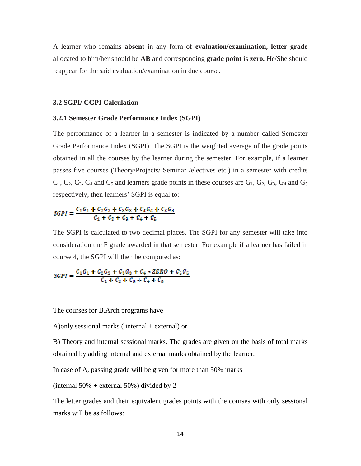A learner who remains **absent** in any form of **evaluation/examination, letter grade**  allocated to him/her should be **AB** and corresponding **grade point** is **zero.** He/She should reappear for the said evaluation/examination in due course.

#### **3.2 SGPI/ CGPI Calculation**

#### **3.2.1 Semester Grade Performance Index (SGPI)**

The performance of a learner in a semester is indicated by a number called Semester Grade Performance Index (SGPI). The SGPI is the weighted average of the grade points obtained in all the courses by the learner during the semester. For example, if a learner passes five courses (Theory/Projects/ Seminar /electives etc.) in a semester with credits  $C_1$ ,  $C_2$ ,  $C_3$ ,  $C_4$  and  $C_5$  and learners grade points in these courses are  $G_1$ ,  $G_2$ ,  $G_3$ ,  $G_4$  and  $G_5$ respectively, then learners' SGPI is equal to:

$$
SGPI = \frac{C_1G_1 + C_2G_2 + C_3G_3 + C_4G_4 + C_5G_5}{C_1 + C_2 + C_3 + C_4 + C_5}
$$

The SGPI is calculated to two decimal places. The SGPI for any semester will take into consideration the F grade awarded in that semester. For example if a learner has failed in course 4, the SGPI will then be computed as:

$$
SGPI = \frac{C_1G_1 + C_2G_2 + C_3G_3 + C_4 * ZERO + C_5G_5}{C_1 + C_2 + C_3 + C_4 + C_5}
$$

The courses for B.Arch programs have

A) only sessional marks (internal + external) or

B) Theory and internal sessional marks. The grades are given on the basis of total marks obtained by adding internal and external marks obtained by the learner.

In case of A, passing grade will be given for more than 50% marks

(internal  $50\%$  + external  $50\%$ ) divided by 2

The letter grades and their equivalent grades points with the courses with only sessional marks will be as follows: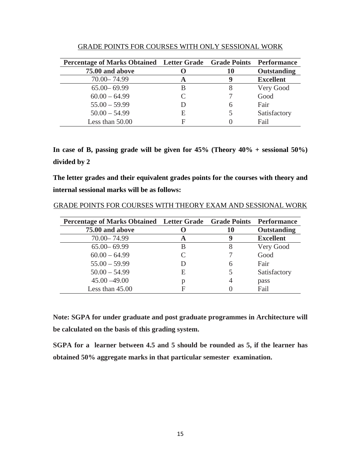| Percentage of Marks Obtained Letter Grade Grade Points Performance |   |    |                  |
|--------------------------------------------------------------------|---|----|------------------|
| 75.00 and above                                                    |   | 10 | Outstanding      |
| 70.00 - 74.99                                                      | A | Y  | <b>Excellent</b> |
| $65.00 - 69.99$                                                    | В |    | Very Good        |
| $60.00 - 64.99$                                                    | C |    | Good             |
| $55.00 - 59.99$                                                    | Ð | 6  | Fair             |
| $50.00 - 54.99$                                                    | E |    | Satisfactory     |
| Less than 50.00                                                    | Е |    | Fail             |

GRADE POINTS FOR COURSES WITH ONLY SESSIONAL WORK

**In case of B, passing grade will be given for 45% (Theory 40% + sessional 50%) divided by 2** 

**The letter grades and their equivalent grades points for the courses with theory and internal sessional marks will be as follows:** 

| Percentage of Marks Obtained Letter Grade Grade Points |   |    | <b>Performance</b> |
|--------------------------------------------------------|---|----|--------------------|
| 75.00 and above                                        |   | 10 | Outstanding        |
| 70.00 - 74.99                                          | A | Y  | <b>Excellent</b>   |
| $65.00 - 69.99$                                        | B | 8  | Very Good          |
| $60.00 - 64.99$                                        |   |    | Good               |
| $55.00 - 59.99$                                        | D | h  | Fair               |
| $50.00 - 54.99$                                        | E |    | Satisfactory       |
| $45.00 - 49.00$                                        | р |    | pass               |
| Less than $45.00$                                      | F |    | Fail               |

GRADE POINTS FOR COURSES WITH THEORY EXAM AND SESSIONAL WORK

**Note: SGPA for under graduate and post graduate programmes in Architecture will be calculated on the basis of this grading system.** 

**SGPA for a learner between 4.5 and 5 should be rounded as 5, if the learner has obtained 50% aggregate marks in that particular semester examination.**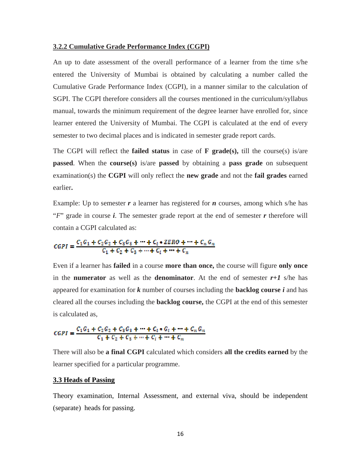#### **3.2.2 Cumulative Grade Performance Index (CGPI)**

An up to date assessment of the overall performance of a learner from the time s/he entered the University of Mumbai is obtained by calculating a number called the Cumulative Grade Performance Index (CGPI), in a manner similar to the calculation of SGPI. The CGPI therefore considers all the courses mentioned in the curriculum/syllabus manual, towards the minimum requirement of the degree learner have enrolled for, since learner entered the University of Mumbai. The CGPI is calculated at the end of every semester to two decimal places and is indicated in semester grade report cards.

The CGPI will reflect the **failed status** in case of **F grade(s),** till the course(s) is/are **passed**. When the **course(s)** is/are **passed** by obtaining a **pass grade** on subsequent examination(s) the **CGPI** will only reflect the **new grade** and not the **fail grades** earned earlier**.** 

Example: Up to semester  $r$  a learner has registered for  $n$  courses, among which s/he has "*F*" grade in course *i*. The semester grade report at the end of semester *r* therefore will contain a CGPI calculated as:

$$
CGPI = \frac{C_1G_1 + C_2G_2 + C_8G_8 + \dots + C_t * ZERO + \dots + C_nG_n}{C_1 + C_2 + C_3 + \dots + C_t + \dots + C_n}
$$

Even if a learner has **failed** in a course **more than once,** the course will figure **only once**  in the **numerator** as well as the **denominator**. At the end of semester *r+1* s/he has appeared for examination for *k* number of courses including the **backlog course** *i* and has cleared all the courses including the **backlog course,** the CGPI at the end of this semester is calculated as,

$$
CGPI = \frac{C_1G_1 + C_2G_2 + C_3G_3 + \dots + C_t * G_t + \dots + C_n G_n}{C_1 + C_2 + C_3 + \dots + C_t + \dots + C_n}
$$

There will also be **a final CGPI** calculated which considers **all the credits earned** by the learner specified for a particular programme.

### **3.3 Heads of Passing**

Theory examination, Internal Assessment, and external viva, should be independent (separate) heads for passing.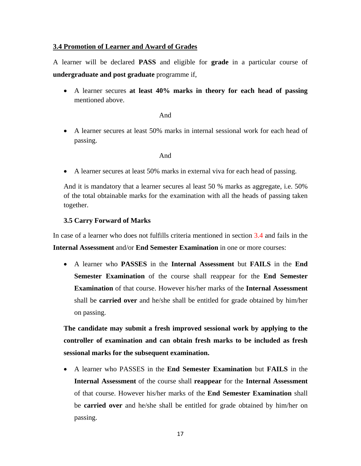## **3.4 Promotion of Learner and Award of Grades**

A learner will be declared **PASS** and eligible for **grade** in a particular course of **undergraduate and post graduate** programme if,

• A learner secures **at least 40% marks in theory for each head of passing** mentioned above.

And

• A learner secures at least 50% marks in internal sessional work for each head of passing.

And

• A learner secures at least 50% marks in external viva for each head of passing.

And it is mandatory that a learner secures al least 50 % marks as aggregate, i.e. 50% of the total obtainable marks for the examination with all the heads of passing taken together.

## **3.5 Carry Forward of Marks**

In case of a learner who does not fulfills criteria mentioned in section 3.4 and fails in the **Internal Assessment** and/or **End Semester Examination** in one or more courses:

• A learner who **PASSES** in the **Internal Assessment** but **FAILS** in the **End Semester Examination** of the course shall reappear for the **End Semester Examination** of that course. However his/her marks of the **Internal Assessment**  shall be **carried over** and he/she shall be entitled for grade obtained by him/her on passing.

**The candidate may submit a fresh improved sessional work by applying to the controller of examination and can obtain fresh marks to be included as fresh sessional marks for the subsequent examination.** 

• A learner who PASSES in the **End Semester Examination** but **FAILS** in the **Internal Assessment** of the course shall **reappear** for the **Internal Assessment** of that course. However his/her marks of the **End Semester Examination** shall be **carried over** and he/she shall be entitled for grade obtained by him/her on passing.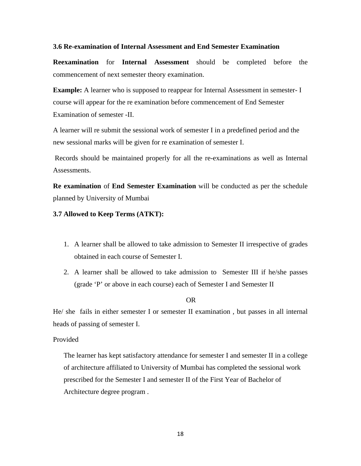#### **3.6 Re-examination of Internal Assessment and End Semester Examination**

**Reexamination** for **Internal Assessment** should be completed before the commencement of next semester theory examination.

**Example:** A learner who is supposed to reappear for Internal Assessment in semester- I course will appear for the re examination before commencement of End Semester Examination of semester -II.

A learner will re submit the sessional work of semester I in a predefined period and the new sessional marks will be given for re examination of semester I.

 Records should be maintained properly for all the re-examinations as well as Internal Assessments.

**Re examination** of **End Semester Examination** will be conducted as per the schedule planned by University of Mumbai

#### **3.7 Allowed to Keep Terms (ATKT):**

- 1. A learner shall be allowed to take admission to Semester II irrespective of grades obtained in each course of Semester I.
- 2. A learner shall be allowed to take admission to Semester III if he/she passes (grade 'P' or above in each course) each of Semester I and Semester II

#### OR

He/ she fails in either semester I or semester II examination , but passes in all internal heads of passing of semester I.

#### Provided

The learner has kept satisfactory attendance for semester I and semester II in a college of architecture affiliated to University of Mumbai has completed the sessional work prescribed for the Semester I and semester II of the First Year of Bachelor of Architecture degree program .